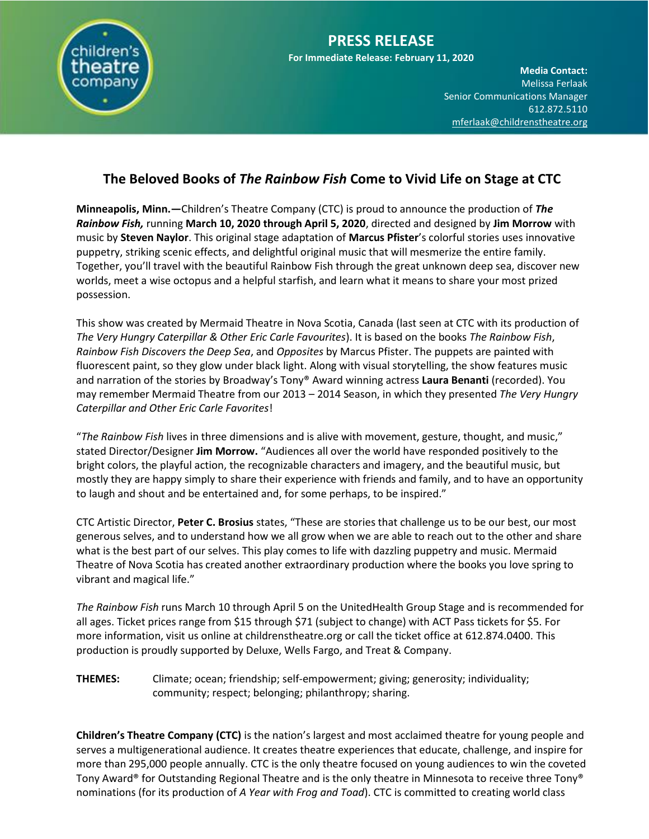

# **The Beloved Books of** *The Rainbow Fish* **Come to Vivid Life on Stage at CTC**

**Minneapolis, Minn.—**Children's Theatre Company (CTC) is proud to announce the production of *The Rainbow Fish,* running **March 10, 2020 through April 5, 2020**, directed and designed by **Jim Morrow** with music by **Steven Naylor**. This original stage adaptation of **Marcus Pfister**'s colorful stories uses innovative puppetry, striking scenic effects, and delightful original music that will mesmerize the entire family. Together, you'll travel with the beautiful Rainbow Fish through the great unknown deep sea, discover new worlds, meet a wise octopus and a helpful starfish, and learn what it means to share your most prized possession.

This show was created by Mermaid Theatre in Nova Scotia, Canada (last seen at CTC with its production of *The Very Hungry Caterpillar & Other Eric Carle Favourites*). It is based on the books *The Rainbow Fish*, *Rainbow Fish Discovers the Deep Sea*, and *Opposites* by Marcus Pfister. The puppets are painted with fluorescent paint, so they glow under black light. Along with visual storytelling, the show features music and narration of the stories by Broadway's Tony® Award winning actress **Laura Benanti** (recorded). You may remember Mermaid Theatre from our 2013 – 2014 Season, in which they presented *The Very Hungry Caterpillar and Other Eric Carle Favorites*!

"*The Rainbow Fish* lives in three dimensions and is alive with movement, gesture, thought, and music," stated Director/Designer **Jim Morrow.** "Audiences all over the world have responded positively to the bright colors, the playful action, the recognizable characters and imagery, and the beautiful music, but mostly they are happy simply to share their experience with friends and family, and to have an opportunity to laugh and shout and be entertained and, for some perhaps, to be inspired."

CTC Artistic Director, **Peter C. Brosius** states, "These are stories that challenge us to be our best, our most generous selves, and to understand how we all grow when we are able to reach out to the other and share what is the best part of our selves. This play comes to life with dazzling puppetry and music. Mermaid Theatre of Nova Scotia has created another extraordinary production where the books you love spring to vibrant and magical life."

*The Rainbow Fish* runs March 10 through April 5 on the UnitedHealth Group Stage and is recommended for all ages. Ticket prices range from \$15 through \$71 (subject to change) with ACT Pass tickets for \$5. For more information, visit us online at childrenstheatre.org or call the ticket office at 612.874.0400. This production is proudly supported by Deluxe, Wells Fargo, and Treat & Company.

**THEMES:** Climate; ocean; friendship; self-empowerment; giving; generosity; individuality; community; respect; belonging; philanthropy; sharing.

**Children's Theatre Company (CTC)** is the nation's largest and most acclaimed theatre for young people and serves a multigenerational audience. It creates theatre experiences that educate, challenge, and inspire for more than 295,000 people annually. CTC is the only theatre focused on young audiences to win the coveted Tony Award® for Outstanding Regional Theatre and is the only theatre in Minnesota to receive three Tony® nominations (for its production of *A Year with Frog and Toad*). CTC is committed to creating world class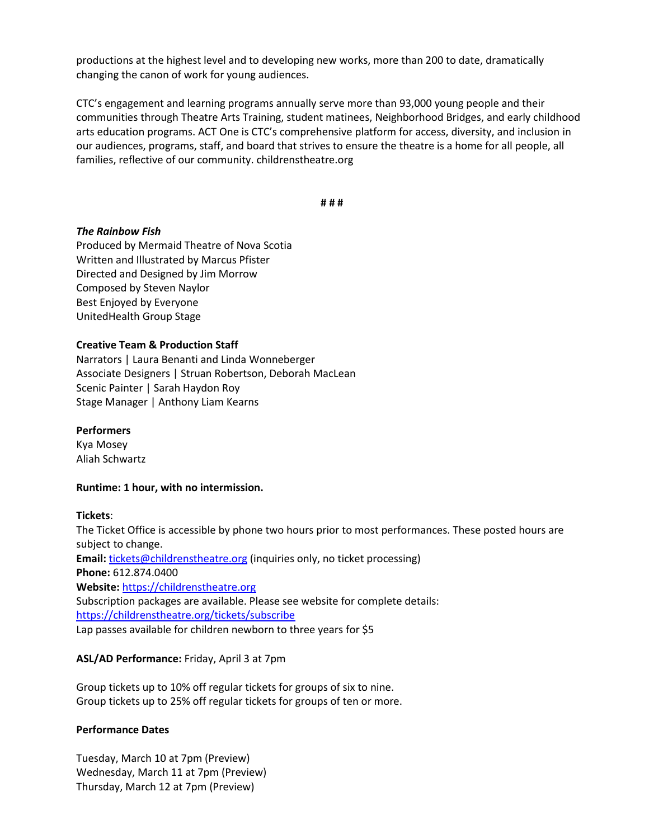**Media Contact:**  productions at the highest level and to developing new works, more than 200 to date, dramatically changing the canon of work for young audiences.

CTC's engagement and learning programs annually serve more than 93,000 young people and their communities through Theatre Arts Training, student matinees, Neighborhood Bridges, and early childhood arts education programs. ACT One is CTC's comprehensive platform for access, diversity, and inclusion in our audiences, programs, staff, and board that strives to ensure the theatre is a home for all people, all families, reflective of our community. childrenstheatre.org

**# # #**

### *The Rainbow Fish*

Produced by Mermaid Theatre of Nova Scotia Written and Illustrated by Marcus Pfister Directed and Designed by Jim Morrow Composed by Steven Naylor Best Enjoyed by Everyone UnitedHealth Group Stage

### **Creative Team & Production Staff**

Narrators | Laura Benanti and Linda Wonneberger Associate Designers | Struan Robertson, Deborah MacLean Scenic Painter | Sarah Haydon Roy Stage Manager | Anthony Liam Kearns

# **Performers**

Kya Mosey Aliah Schwartz

### **Runtime: 1 hour, with no intermission.**

### **Tickets**:

The Ticket Office is accessible by phone two hours prior to most performances. These posted hours are subject to change. Email: [tickets@childrenstheatre.org](mailto:tickets@childrenstheatre.org) (inquiries only, no ticket processing) **Phone:** 612.874.0400 **Website:** [https://childrenstheatre.org](https://childrenstheatre.org/) Subscription packages are available. Please see website for complete details: <https://childrenstheatre.org/tickets/subscribe> Lap passes available for children newborn to three years for \$5

# **ASL/AD Performance:** Friday, April 3 at 7pm

Group tickets up to 10% off regular tickets for groups of six to nine. Group tickets up to 25% off regular tickets for groups of ten or more.

### **Performance Dates**

Tuesday, March 10 at 7pm (Preview) Wednesday, March 11 at 7pm (Preview) Thursday, March 12 at 7pm (Preview)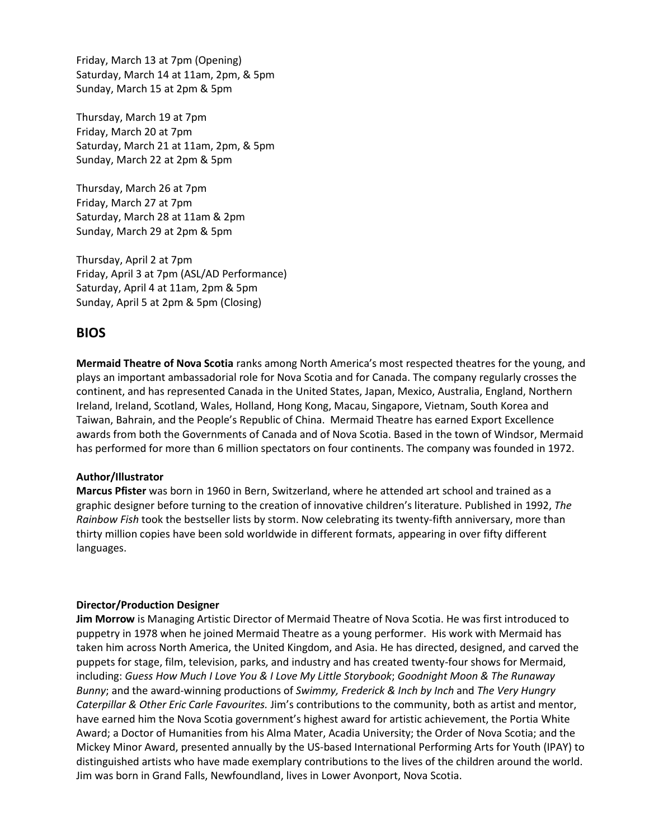Friday, March 13 at 7pm (Opening) Saturday, March 14 at 11am, 2pm, & 5pm Sunday, March 15 at 2pm & 5pm

Thursday, March 19 at 7pm Friday, March 20 at 7pm Saturday, March 21 at 11am, 2pm, & 5pm Sunday, March 22 at 2pm & 5pm

Thursday, March 26 at 7pm Friday, March 27 at 7pm Saturday, March 28 at 11am & 2pm Sunday, March 29 at 2pm & 5pm

Thursday, April 2 at 7pm Friday, April 3 at 7pm (ASL/AD Performance) Saturday, April 4 at 11am, 2pm & 5pm Sunday, April 5 at 2pm & 5pm (Closing)

# **BIOS**

**Mermaid Theatre of Nova Scotia** ranks among North America's most respected theatres for the young, and plays an important ambassadorial role for Nova Scotia and for Canada. The company regularly crosses the continent, and has represented Canada in the United States, Japan, Mexico, Australia, England, Northern Ireland, Ireland, Scotland, Wales, Holland, Hong Kong, Macau, Singapore, Vietnam, South Korea and Taiwan, Bahrain, and the People's Republic of China. Mermaid Theatre has earned Export Excellence awards from both the Governments of Canada and of Nova Scotia. Based in the town of Windsor, Mermaid has performed for more than 6 million spectators on four continents. The company was founded in 1972.

### **Author/Illustrator**

**Marcus Pfister** was born in 1960 in Bern, Switzerland, where he attended art school and trained as a graphic designer before turning to the creation of innovative children's literature. Published in 1992, *The Rainbow Fish* took the bestseller lists by storm. Now celebrating its twenty-fifth anniversary, more than thirty million copies have been sold worldwide in different formats, appearing in over fifty different languages.

### **Director/Production Designer**

**Jim Morrow** is Managing Artistic Director of Mermaid Theatre of Nova Scotia. He was first introduced to puppetry in 1978 when he joined Mermaid Theatre as a young performer. His work with Mermaid has taken him across North America, the United Kingdom, and Asia. He has directed, designed, and carved the puppets for stage, film, television, parks, and industry and has created twenty-four shows for Mermaid, including: *Guess How Much I Love You & I Love My Little Storybook*; *Goodnight Moon & The Runaway Bunny*; and the award-winning productions of *Swimmy, Frederick & Inch by Inch* and *The Very Hungry Caterpillar & Other Eric Carle Favourites.* Jim's contributions to the community, both as artist and mentor, have earned him the Nova Scotia government's highest award for artistic achievement, the Portia White Award; a Doctor of Humanities from his Alma Mater, Acadia University; the Order of Nova Scotia; and the Mickey Minor Award, presented annually by the US-based International Performing Arts for Youth (IPAY) to distinguished artists who have made exemplary contributions to the lives of the children around the world. Jim was born in Grand Falls, Newfoundland, lives in Lower Avonport, Nova Scotia.